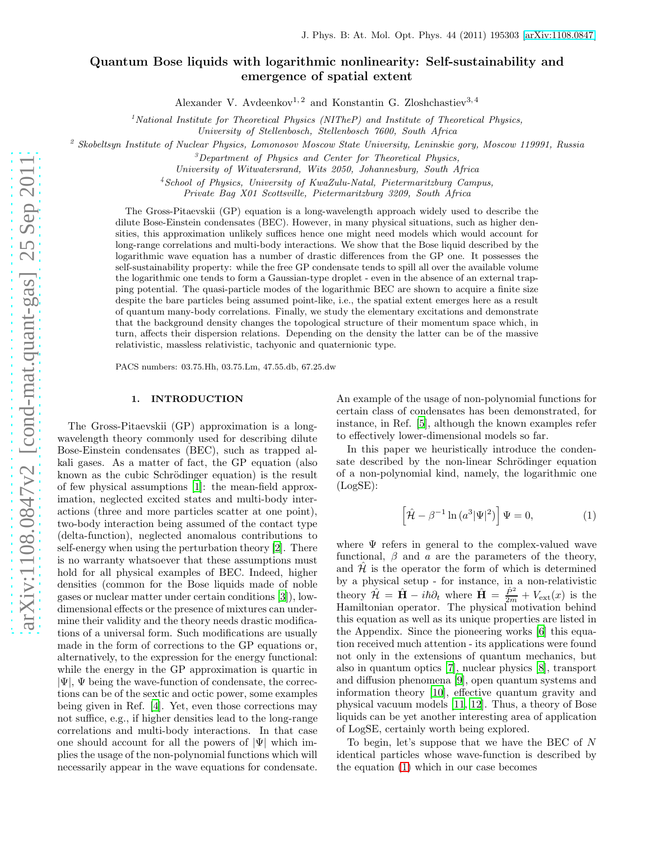# Quantum Bose liquids with logarithmic nonlinearity: Self-sustainability and emergence of spatial extent

Alexander V. Avdeenkov<sup>1, 2</sup> and Konstantin G. Zloshchastiev<sup>3, 4</sup>

<sup>1</sup>National Institute for Theoretical Physics (NITheP) and Institute of Theoretical Physics,

University of Stellenbosch, Stellenbosch 7600, South Africa

<sup>2</sup> Skobeltsyn Institute of Nuclear Physics, Lomonosov Moscow State University, Leninskie gory, Moscow 119991, Russia

 $3$ Department of Physics and Center for Theoretical Physics,

University of Witwatersrand, Wits 2050, Johannesburg, South Africa

<sup>4</sup>School of Physics, University of KwaZulu-Natal, Pietermaritzburg Campus,

Private Bag X01 Scottsville, Pietermaritzburg 3209, South Africa

The Gross-Pitaevskii (GP) equation is a long-wavelength approach widely used to describe the dilute Bose-Einstein condensates (BEC). However, in many physical situations, such as higher densities, this approximation unlikely suffices hence one might need models which would account for long-range correlations and multi-body interactions. We show that the Bose liquid described by the logarithmic wave equation has a number of drastic differences from the GP one. It possesses the self-sustainability property: while the free GP condensate tends to spill all over the available volume the logarithmic one tends to form a Gaussian-type droplet - even in the absence of an external trapping potential. The quasi-particle modes of the logarithmic BEC are shown to acquire a finite size despite the bare particles being assumed point-like, i.e., the spatial extent emerges here as a result of quantum many-body correlations. Finally, we study the elementary excitations and demonstrate that the background density changes the topological structure of their momentum space which, in turn, affects their dispersion relations. Depending on the density the latter can be of the massive relativistic, massless relativistic, tachyonic and quaternionic type.

PACS numbers: 03.75.Hh, 03.75.Lm, 47.55.db, 67.25.dw

### 1. INTRODUCTION

The Gross-Pitaevskii (GP) approximation is a longwavelength theory commonly used for describing dilute Bose-Einstein condensates (BEC), such as trapped alkali gases. As a matter of fact, the GP equation (also known as the cubic Schrödinger equation) is the result of few physical assumptions [\[1](#page-12-0)]: the mean-field approximation, neglected excited states and multi-body interactions (three and more particles scatter at one point), two-body interaction being assumed of the contact type (delta-function), neglected anomalous contributions to self-energy when using the perturbation theory [\[2\]](#page-12-1). There is no warranty whatsoever that these assumptions must hold for all physical examples of BEC. Indeed, higher densities (common for the Bose liquids made of noble gases or nuclear matter under certain conditions [\[3](#page-12-2)]), lowdimensional effects or the presence of mixtures can undermine their validity and the theory needs drastic modifications of a universal form. Such modifications are usually made in the form of corrections to the GP equations or, alternatively, to the expression for the energy functional: while the energy in the GP approximation is quartic in  $|\Psi|$ ,  $\Psi$  being the wave-function of condensate, the corrections can be of the sextic and octic power, some examples being given in Ref. [\[4](#page-12-3)]. Yet, even those corrections may not suffice, e.g., if higher densities lead to the long-range correlations and multi-body interactions. In that case one should account for all the powers of  $|\Psi|$  which implies the usage of the non-polynomial functions which will necessarily appear in the wave equations for condensate.

An example of the usage of non-polynomial functions for certain class of condensates has been demonstrated, for instance, in Ref. [\[5](#page-12-4)], although the known examples refer to effectively lower-dimensional models so far.

In this paper we heuristically introduce the condensate described by the non-linear Schrödinger equation of a non-polynomial kind, namely, the logarithmic one (LogSE):

<span id="page-0-0"></span>
$$
\left[\hat{\mathcal{H}} - \beta^{-1} \ln \left(a^3 |\Psi|^2\right)\right] \Psi = 0, \tag{1}
$$

where  $\Psi$  refers in general to the complex-valued wave functional,  $\beta$  and  $\alpha$  are the parameters of the theory, and  $H$  is the operator the form of which is determined by a physical setup - for instance, in a non-relativistic theory  $\hat{\mathcal{H}} = \hat{\mathbf{H}} - i\hbar \partial_t$  where  $\hat{\mathbf{H}} = \frac{\hat{P}^2}{2m} + V_{\text{ext}}(x)$  is the Hamiltonian operator. The physical motivation behind this equation as well as its unique properties are listed in the Appendix. Since the pioneering works [\[6\]](#page-12-5) this equation received much attention - its applications were found not only in the extensions of quantum mechanics, but also in quantum optics [\[7\]](#page-12-6), nuclear physics [\[8\]](#page-12-7), transport and diffusion phenomena [\[9\]](#page-12-8), open quantum systems and information theory [\[10\]](#page-12-9), effective quantum gravity and physical vacuum models [\[11,](#page-12-10) [12\]](#page-12-11). Thus, a theory of Bose liquids can be yet another interesting area of application of LogSE, certainly worth being explored.

To begin, let's suppose that we have the BEC of  $N$ identical particles whose wave-function is described by the equation [\(1\)](#page-0-0) which in our case becomes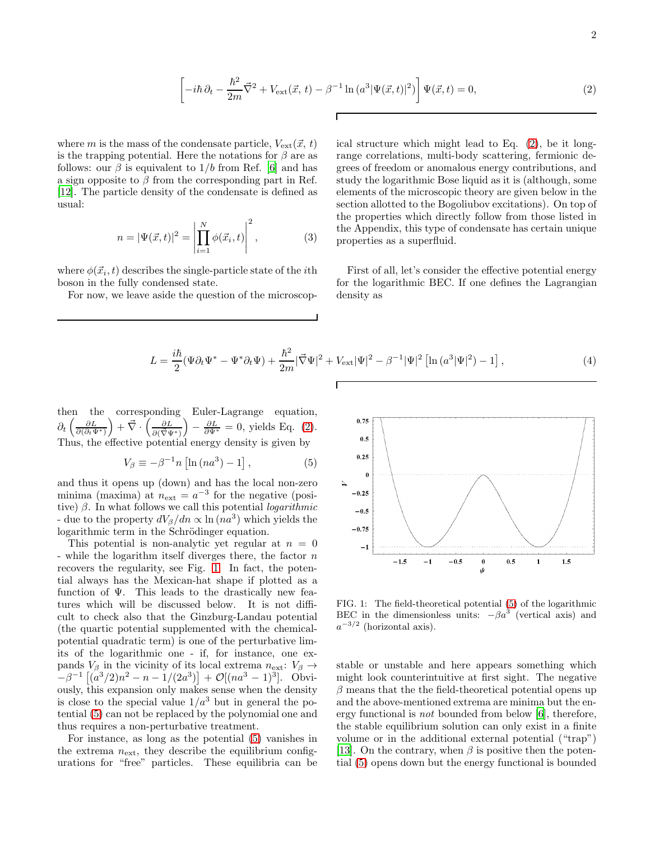<span id="page-1-0"></span>
$$
\left[ -i\hbar \partial_t - \frac{\hbar^2}{2m} \vec{\nabla}^2 + V_{\text{ext}}(\vec{x}, t) - \beta^{-1} \ln (a^3 |\Psi(\vec{x}, t)|^2) \right] \Psi(\vec{x}, t) = 0, \tag{2}
$$

Г

where m is the mass of the condensate particle,  $V_{\text{ext}}(\vec{x}, t)$ is the trapping potential. Here the notations for  $\beta$  are as follows: our  $\beta$  is equivalent to  $1/b$  from Ref. [\[6](#page-12-5)] and has a sign opposite to  $\beta$  from the corresponding part in Ref. [\[12\]](#page-12-11). The particle density of the condensate is defined as usual:

$$
n = |\Psi(\vec{x}, t)|^2 = \left| \prod_{i=1}^{N} \phi(\vec{x}_i, t) \right|^2, \tag{3}
$$

where  $\phi(\vec{x}_i, t)$  describes the single-particle state of the *i*th boson in the fully condensed state.

For now, we leave aside the question of the microscop-

ical structure which might lead to Eq. [\(2\)](#page-1-0), be it longrange correlations, multi-body scattering, fermionic degrees of freedom or anomalous energy contributions, and study the logarithmic Bose liquid as it is (although, some elements of the microscopic theory are given below in the section allotted to the Bogoliubov excitations). On top of the properties which directly follow from those listed in the Appendix, this type of condensate has certain unique properties as a superfluid.

First of all, let's consider the effective potential energy for the logarithmic BEC. If one defines the Lagrangian density as

$$
L = \frac{i\hbar}{2} (\Psi \partial_t \Psi^* - \Psi^* \partial_t \Psi) + \frac{\hbar^2}{2m} |\vec{\nabla}\Psi|^2 + V_{\text{ext}} |\Psi|^2 - \beta^{-1} |\Psi|^2 \left[ \ln \left( a^3 |\Psi|^2 \right) - 1 \right],\tag{4}
$$

then the corresponding Euler-Lagrange equation,  $\partial_t \left( \frac{\partial L}{\partial (\partial_t \Psi^*)} \right) + \vec{\nabla} \cdot \left( \frac{\partial L}{\partial (\vec{\nabla} \Psi^*)} \right) - \frac{\partial L}{\partial \Psi^*} = 0$ , yields Eq. [\(2\)](#page-1-0). Thus, the effective potential energy density is given by

<span id="page-1-2"></span>
$$
V_{\beta} \equiv -\beta^{-1} n \left[ \ln \left( n a^3 \right) - 1 \right],\tag{5}
$$

and thus it opens up (down) and has the local non-zero minima (maxima) at  $n_{\text{ext}} = a^{-3}$  for the negative (positive)  $\beta$ . In what follows we call this potential *logarithmic* - due to the property  $dV_\beta/dn \propto \ln(na^3)$  which yields the logarithmic term in the Schrödinger equation.

This potential is non-analytic yet regular at  $n = 0$ - while the logarithm itself diverges there, the factor  $n$ recovers the regularity, see Fig. [1.](#page-1-1) In fact, the potential always has the Mexican-hat shape if plotted as a function of  $\Psi$ . This leads to the drastically new features which will be discussed below. It is not difficult to check also that the Ginzburg-Landau potential (the quartic potential supplemented with the chemicalpotential quadratic term) is one of the perturbative limits of the logarithmic one - if, for instance, one expands  $V_\beta$  in the vicinity of its local extrema  $n_{\text{ext}}$ :  $V_\beta \rightarrow$  $-\beta^{-1}\left[ (a^3/2)n^2 - n - 1/(2a^3) \right] + \mathcal{O}[(na^3 - 1)^3]$ . Obviously, this expansion only makes sense when the density is close to the special value  $1/a^3$  but in general the potential [\(5\)](#page-1-2) can not be replaced by the polynomial one and thus requires a non-perturbative treatment.

For instance, as long as the potential [\(5\)](#page-1-2) vanishes in the extrema  $n_{\text{ext}}$ , they describe the equilibrium configurations for "free" particles. These equilibria can be



<span id="page-1-1"></span>FIG. 1: The field-theoretical potential [\(5\)](#page-1-2) of the logarithmic BEC in the dimensionless units:  $-\beta a^3$  (vertical axis) and  $a^{-3/2}$  (horizontal axis).

stable or unstable and here appears something which might look counterintuitive at first sight. The negative  $\beta$  means that the the field-theoretical potential opens up and the above-mentioned extrema are minima but the energy functional is not bounded from below [\[6](#page-12-5)], therefore, the stable equilibrium solution can only exist in a finite volume or in the additional external potential ("trap") [\[13\]](#page-12-12). On the contrary, when  $\beta$  is positive then the potential [\(5\)](#page-1-2) opens down but the energy functional is bounded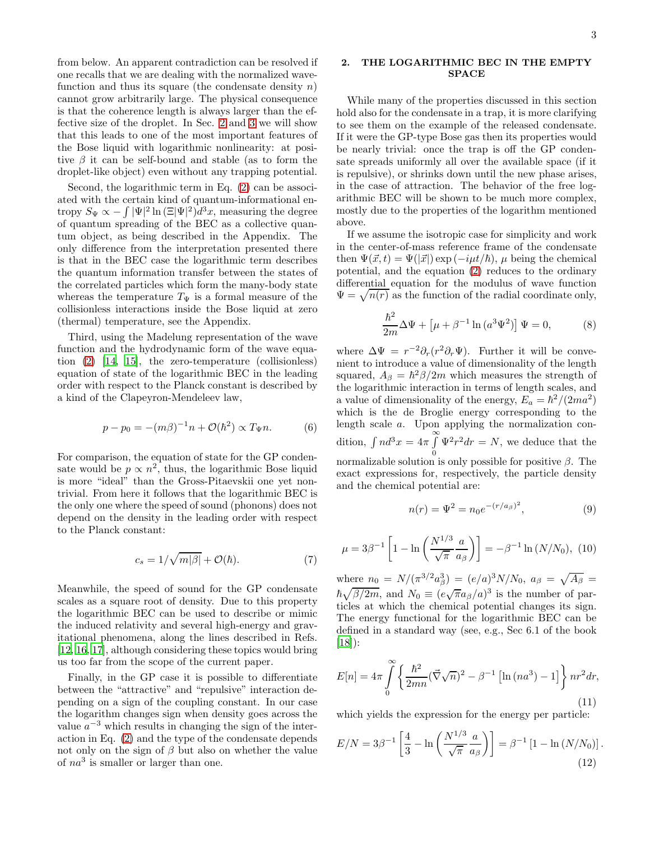from below. An apparent contradiction can be resolved if one recalls that we are dealing with the normalized wavefunction and thus its square (the condensate density  $n$ ) cannot grow arbitrarily large. The physical consequence is that the coherence length is always larger than the effective size of the droplet. In Sec. [2](#page-2-0) and [3](#page-5-0) we will show that this leads to one of the most important features of the Bose liquid with logarithmic nonlinearity: at positive  $\beta$  it can be self-bound and stable (as to form the droplet-like object) even without any trapping potential.

Second, the logarithmic term in Eq. [\(2\)](#page-1-0) can be associated with the certain kind of quantum-informational entropy  $S_{\Psi} \propto -\int |\Psi|^2 \ln (\Xi |\Psi|^2) d^3x$ , measuring the degree of quantum spreading of the BEC as a collective quantum object, as being described in the Appendix. The only difference from the interpretation presented there is that in the BEC case the logarithmic term describes the quantum information transfer between the states of the correlated particles which form the many-body state whereas the temperature  $T_{\Psi}$  is a formal measure of the collisionless interactions inside the Bose liquid at zero (thermal) temperature, see the Appendix.

Third, using the Madelung representation of the wave function and the hydrodynamic form of the wave equation [\(2\)](#page-1-0) [\[14](#page-12-13), [15](#page-12-14)], the zero-temperature (collisionless) equation of state of the logarithmic BEC in the leading order with respect to the Planck constant is described by a kind of the Clapeyron-Mendeleev law,

$$
p - p_0 = -(m\beta)^{-1}n + \mathcal{O}(\hbar^2) \propto T_{\Psi}n.
$$
 (6)

For comparison, the equation of state for the GP condensate would be  $p \propto n^2$ , thus, the logarithmic Bose liquid is more "ideal" than the Gross-Pitaevskii one yet nontrivial. From here it follows that the logarithmic BEC is the only one where the speed of sound (phonons) does not depend on the density in the leading order with respect to the Planck constant:

<span id="page-2-4"></span>
$$
c_s = 1/\sqrt{m|\beta|} + \mathcal{O}(\hbar). \tag{7}
$$

Meanwhile, the speed of sound for the GP condensate scales as a square root of density. Due to this property the logarithmic BEC can be used to describe or mimic the induced relativity and several high-energy and gravitational phenomena, along the lines described in Refs. [\[12,](#page-12-11) [16,](#page-12-15) [17\]](#page-12-16), although considering these topics would bring us too far from the scope of the current paper.

Finally, in the GP case it is possible to differentiate between the "attractive" and "repulsive" interaction depending on a sign of the coupling constant. In our case the logarithm changes sign when density goes across the value  $a^{-3}$  which results in changing the sign of the interaction in Eq. [\(2\)](#page-1-0) and the type of the condensate depends not only on the sign of  $\beta$  but also on whether the value of  $na^3$  is smaller or larger than one.

# <span id="page-2-0"></span>2. THE LOGARITHMIC BEC IN THE EMPTY SPACE

While many of the properties discussed in this section hold also for the condensate in a trap, it is more clarifying to see them on the example of the released condensate. If it were the GP-type Bose gas then its properties would be nearly trivial: once the trap is off the GP condensate spreads uniformly all over the available space (if it is repulsive), or shrinks down until the new phase arises, in the case of attraction. The behavior of the free logarithmic BEC will be shown to be much more complex, mostly due to the properties of the logarithm mentioned above.

If we assume the isotropic case for simplicity and work in the center-of-mass reference frame of the condensate then  $\Psi(\vec{x}, t) = \Psi(|\vec{x}|) \exp(-i\mu t/\hbar), \mu$  being the chemical potential, and the equation [\(2\)](#page-1-0) reduces to the ordinary differential equation for the modulus of wave function  $\Psi = \sqrt{n(r)}$  as the function of the radial coordinate only,

$$
\frac{\hbar^2}{2m}\Delta\Psi + \left[\mu + \beta^{-1}\ln\left(a^3\Psi^2\right)\right]\Psi = 0,\tag{8}
$$

where  $\Delta \Psi = r^{-2} \partial_r (r^2 \partial_r \Psi)$ . Further it will be convenient to introduce a value of dimensionality of the length squared,  $A_{\beta} = \hbar^2 \beta / 2m$  which measures the strength of the logarithmic interaction in terms of length scales, and a value of dimensionality of the energy,  $E_a = \hbar^2/(2ma^2)$ which is the de Broglie energy corresponding to the length scale a. Upon applying the normalization condition,  $\int nd^3x = 4\pi \int$ 0  $\Psi^2 r^2 dr = N$ , we deduce that the normalizable solution is only possible for positive  $\beta$ . The exact expressions for, respectively, the particle density and the chemical potential are:

<span id="page-2-3"></span>
$$
n(r) = \Psi^2 = n_0 e^{-(r/a_\beta)^2},\tag{9}
$$

<span id="page-2-1"></span>
$$
\mu = 3\beta^{-1} \left[ 1 - \ln \left( \frac{N^{1/3}}{\sqrt{\pi}} \frac{a}{a_{\beta}} \right) \right] = -\beta^{-1} \ln (N/N_0), (10)
$$

where  $n_0 = N/(\pi^{3/2} a_\beta^3) = (e/a)^3 N/N_0$ ,  $a_\beta = \sqrt{A_\beta} =$  $\hbar\sqrt{\beta/2m}$ , and  $N_0 \equiv (e\sqrt{\pi}a_\beta/a)^3$  is the number of particles at which the chemical potential changes its sign. The energy functional for the logarithmic BEC can be defined in a standard way (see, e.g., Sec 6.1 of the book [\[18\]](#page-12-17)):

$$
E[n] = 4\pi \int_{0}^{\infty} \left\{ \frac{\hbar^2}{2mn} (\vec{\nabla}\sqrt{n})^2 - \beta^{-1} \left[ \ln(na^3) - 1 \right] \right\} nr^2 dr,
$$
\n(11)

which yields the expression for the energy per particle:

<span id="page-2-2"></span>
$$
E/N = 3\beta^{-1} \left[ \frac{4}{3} - \ln \left( \frac{N^{1/3}}{\sqrt{\pi}} \frac{a}{a_{\beta}} \right) \right] = \beta^{-1} \left[ 1 - \ln \left( N/N_0 \right) \right].
$$
\n(12)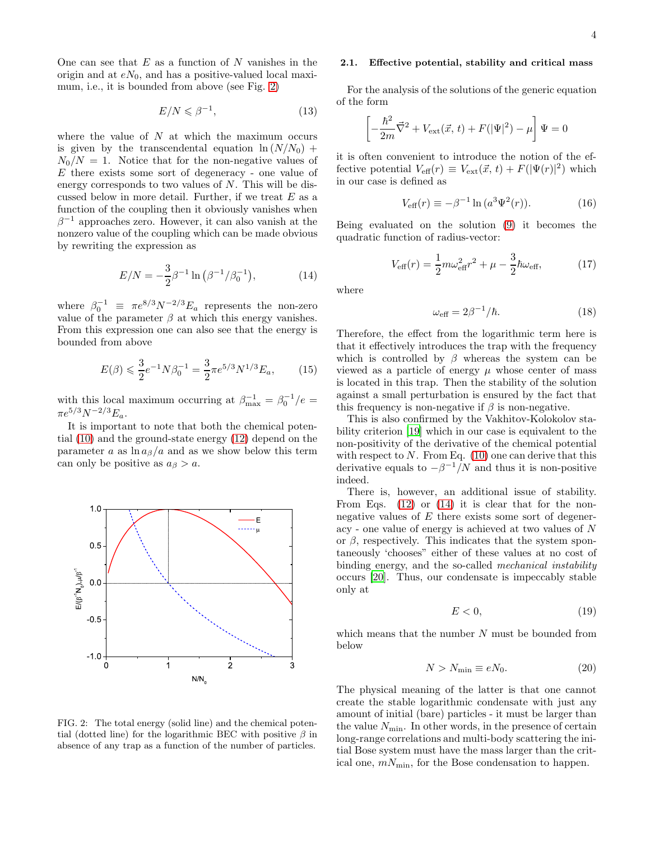One can see that  $E$  as a function of  $N$  vanishes in the origin and at  $eN_0$ , and has a positive-valued local maximum, i.e., it is bounded from above (see Fig. [2\)](#page-3-0)

$$
E/N \le \beta^{-1},\tag{13}
$$

where the value of  $N$  at which the maximum occurs is given by the transcendental equation  $\ln (N/N_0)$  +  $N_0/N = 1$ . Notice that for the non-negative values of E there exists some sort of degeneracy - one value of energy corresponds to two values of N. This will be discussed below in more detail. Further, if we treat  $E$  as a function of the coupling then it obviously vanishes when  $\beta^{-1}$  approaches zero. However, it can also vanish at the nonzero value of the coupling which can be made obvious by rewriting the expression as

<span id="page-3-1"></span>
$$
E/N = -\frac{3}{2}\beta^{-1}\ln\left(\beta^{-1}/\beta_0^{-1}\right),\tag{14}
$$

where  $\beta_0^{-1} \equiv \pi e^{8/3} N^{-2/3} E_a$  represents the non-zero value of the parameter  $\beta$  at which this energy vanishes. From this expression one can also see that the energy is bounded from above

$$
E(\beta) \leqslant \frac{3}{2} e^{-1} N \beta_0^{-1} = \frac{3}{2} \pi e^{5/3} N^{1/3} E_a, \qquad (15)
$$

with this local maximum occurring at  $\beta_{\text{max}}^{-1} = \beta_0^{-1}/e =$  $\pi e^{5/3} N^{-2/3} E_a$ .

It is important to note that both the chemical potential [\(10\)](#page-2-1) and the ground-state energy [\(12\)](#page-2-2) depend on the parameter a as  $\ln a_\beta/a$  and as we show below this term can only be positive as  $a_{\beta} > a$ .



### 2.1. Effective potential, stability and critical mass

For the analysis of the solutions of the generic equation of the form

$$
\left[-\frac{\hbar^2}{2m}\vec{\nabla}^2 + V_{\text{ext}}(\vec{x}, t) + F(|\Psi|^2) - \mu\right]\Psi = 0
$$

it is often convenient to introduce the notion of the effective potential  $V_{\text{eff}}(r) \equiv V_{\text{ext}}(\vec{x}, t) + F(|\Psi(r)|^2)$  which in our case is defined as

$$
V_{\text{eff}}(r) \equiv -\beta^{-1} \ln (a^3 \Psi^2(r)). \tag{16}
$$

Being evaluated on the solution [\(9\)](#page-2-3) it becomes the quadratic function of radius-vector:

$$
V_{\text{eff}}(r) = \frac{1}{2}m\omega_{\text{eff}}^2 r^2 + \mu - \frac{3}{2}\hbar\omega_{\text{eff}},
$$
 (17)

where

$$
\omega_{\text{eff}} = 2\beta^{-1}/\hbar. \tag{18}
$$

Therefore, the effect from the logarithmic term here is that it effectively introduces the trap with the frequency which is controlled by  $\beta$  whereas the system can be viewed as a particle of energy  $\mu$  whose center of mass is located in this trap. Then the stability of the solution against a small perturbation is ensured by the fact that this frequency is non-negative if  $\beta$  is non-negative.

This is also confirmed by the Vakhitov-Kolokolov stability criterion [\[19](#page-12-18)] which in our case is equivalent to the non-positivity of the derivative of the chemical potential with respect to  $N$ . From Eq. [\(10\)](#page-2-1) one can derive that this derivative equals to  $-\beta^{-1}/N$  and thus it is non-positive indeed.

There is, however, an additional issue of stability. From Eqs. [\(12\)](#page-2-2) or [\(14\)](#page-3-1) it is clear that for the nonnegative values of E there exists some sort of degeneracy - one value of energy is achieved at two values of N or  $\beta$ , respectively. This indicates that the system spontaneously 'chooses" either of these values at no cost of binding energy, and the so-called mechanical instability occurs [\[20](#page-12-19)]. Thus, our condensate is impeccably stable only at

$$
E < 0,\tag{19}
$$

which means that the number  $N$  must be bounded from below

$$
N > N_{\min} \equiv eN_0. \tag{20}
$$

The physical meaning of the latter is that one cannot create the stable logarithmic condensate with just any amount of initial (bare) particles - it must be larger than the value  $N_{\text{min}}$ . In other words, in the presence of certain long-range correlations and multi-body scattering the initial Bose system must have the mass larger than the critical one,  $m_{\text{min}}$ , for the Bose condensation to happen.

<span id="page-3-0"></span>FIG. 2: The total energy (solid line) and the chemical potential (dotted line) for the logarithmic BEC with positive  $\beta$  in absence of any trap as a function of the number of particles.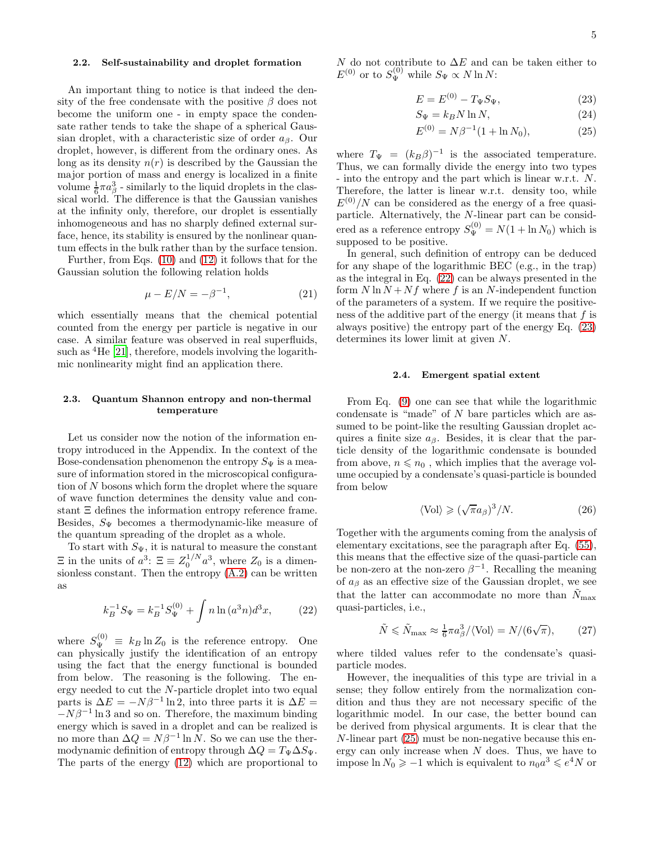### 2.2. Self-sustainability and droplet formation

An important thing to notice is that indeed the density of the free condensate with the positive  $\beta$  does not become the uniform one - in empty space the condensate rather tends to take the shape of a spherical Gaussian droplet, with a characteristic size of order  $a_{\beta}$ . Our droplet, however, is different from the ordinary ones. As long as its density  $n(r)$  is described by the Gaussian the major portion of mass and energy is localized in a finite volume  $\frac{1}{6}\pi a_\beta^3$  - similarly to the liquid droplets in the classical world. The difference is that the Gaussian vanishes at the infinity only, therefore, our droplet is essentially inhomogeneous and has no sharply defined external surface, hence, its stability is ensured by the nonlinear quantum effects in the bulk rather than by the surface tension.

Further, from Eqs. [\(10\)](#page-2-1) and [\(12\)](#page-2-2) it follows that for the Gaussian solution the following relation holds

$$
\mu - E/N = -\beta^{-1},\tag{21}
$$

which essentially means that the chemical potential counted from the energy per particle is negative in our case. A similar feature was observed in real superfluids, such as  ${}^{4}$ He [\[21\]](#page-12-20), therefore, models involving the logarithmic nonlinearity might find an application there.

# 2.3. Quantum Shannon entropy and non-thermal temperature

Let us consider now the notion of the information entropy introduced in the Appendix. In the context of the Bose-condensation phenomenon the entropy  $S_{\Psi}$  is a measure of information stored in the microscopical configuration of N bosons which form the droplet where the square of wave function determines the density value and constant Ξ defines the information entropy reference frame. Besides,  $S_{\Psi}$  becomes a thermodynamic-like measure of the quantum spreading of the droplet as a whole.

To start with  $S_{\Psi}$ , it is natural to measure the constant  $\Xi$  in the units of  $a^3$ :  $\Xi \equiv Z_0^{1/N} a^3$ , where  $Z_0$  is a dimensionless constant. Then the entropy [\(A.2\)](#page-11-0) can be written as

<span id="page-4-0"></span>
$$
k_B^{-1} S_\Psi = k_B^{-1} S_\Psi^{(0)} + \int n \ln(a^3 n) d^3 x,\tag{22}
$$

where  $S_{\Psi}^{(0)} \equiv k_B \ln Z_0$  is the reference entropy. One can physically justify the identification of an entropy using the fact that the energy functional is bounded from below. The reasoning is the following. The energy needed to cut the N-particle droplet into two equal parts is  $\Delta E = -N\beta^{-1} \ln 2$ , into three parts it is  $\Delta E =$  $-N\beta^{-1}$  ln 3 and so on. Therefore, the maximum binding energy which is saved in a droplet and can be realized is no more than  $\Delta Q = N\beta^{-1} \ln N$ . So we can use the thermodynamic definition of entropy through  $\Delta Q = T_{\Psi} \Delta S_{\Psi}$ . The parts of the energy [\(12\)](#page-2-2) which are proportional to N do not contribute to  $\Delta E$  and can be taken either to  $E^{(0)}$  or to  $S_{\Psi}^{(0)}$  while  $S_{\Psi} \propto N \ln N$ :

<span id="page-4-1"></span>
$$
E = E^{(0)} - T_{\Psi} S_{\Psi}, \tag{23}
$$

$$
S_{\Psi} = k_B N \ln N, \tag{24}
$$

$$
E^{(0)} = N\beta^{-1}(1 + \ln N_0), \tag{25}
$$

where  $T_{\Psi} = (k_B \beta)^{-1}$  is the associated temperature. Thus, we can formally divide the energy into two types - into the entropy and the part which is linear w.r.t. N. Therefore, the latter is linear w.r.t. density too, while  $E^{(0)}/N$  can be considered as the energy of a free quasiparticle. Alternatively, the N-linear part can be considered as a reference entropy  $S_{\Psi}^{(0)} = N(1 + \ln N_0)$  which is supposed to be positive.

In general, such definition of entropy can be deduced for any shape of the logarithmic BEC (e.g., in the trap) as the integral in Eq. [\(22\)](#page-4-0) can be always presented in the form  $N \ln N + Nf$  where f is an N-independent function of the parameters of a system. If we require the positiveness of the additive part of the energy (it means that  $f$  is always positive) the entropy part of the energy Eq. [\(23\)](#page-4-1) determines its lower limit at given N.

#### 2.4. Emergent spatial extent

From Eq. [\(9\)](#page-2-3) one can see that while the logarithmic condensate is "made" of N bare particles which are assumed to be point-like the resulting Gaussian droplet acquires a finite size  $a_{\beta}$ . Besides, it is clear that the particle density of the logarithmic condensate is bounded from above,  $n \leq n_0$ , which implies that the average volume occupied by a condensate's quasi-particle is bounded from below

$$
\langle \text{Vol} \rangle \geqslant (\sqrt{\pi} a_{\beta})^3 / N. \tag{26}
$$

Together with the arguments coming from the analysis of elementary excitations, see the paragraph after Eq. [\(55\)](#page-9-0), this means that the effective size of the quasi-particle can be non-zero at the non-zero  $\beta^{-1}$ . Recalling the meaning of  $a_{\beta}$  as an effective size of the Gaussian droplet, we see that the latter can accommodate no more than  $N_{\text{max}}$ quasi-particles, i.e.,

$$
\tilde{N} \le \tilde{N}_{\text{max}} \approx \frac{1}{6} \pi a_{\beta}^{3} / \langle \text{Vol} \rangle = N / (6\sqrt{\pi}), \quad (27)
$$

where tilded values refer to the condensate's quasiparticle modes.

However, the inequalities of this type are trivial in a sense; they follow entirely from the normalization condition and thus they are not necessary specific of the logarithmic model. In our case, the better bound can be derived from physical arguments. It is clear that the N-linear part [\(25\)](#page-4-1) must be non-negative because this energy can only increase when  $N$  does. Thus, we have to impose  $\ln N_0 \ge -1$  which is equivalent to  $n_0 a^3 \le e^4 N$  or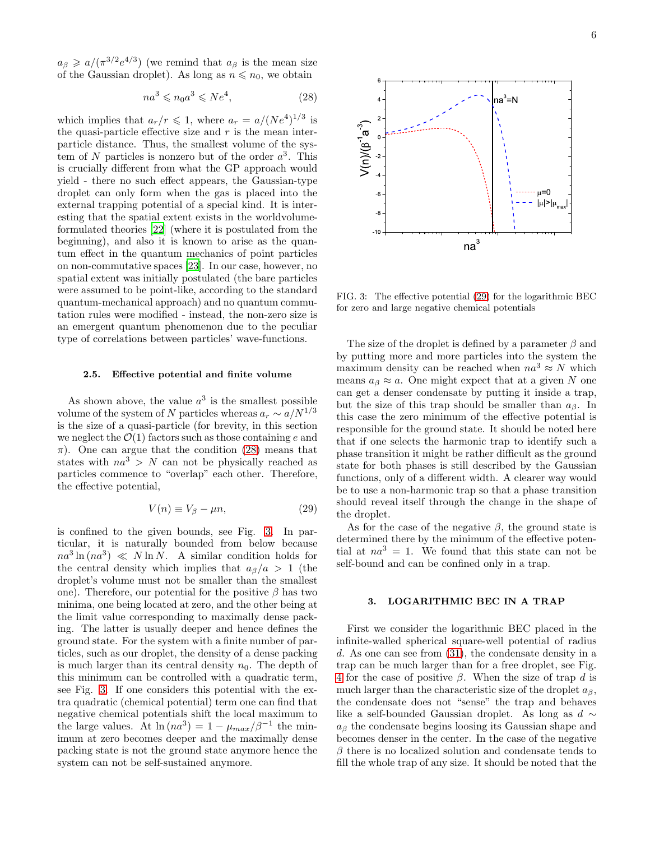$a_{\beta} \geqslant a/(\pi^{3/2}e^{4/3})$  (we remind that  $a_{\beta}$  is the mean size of the Gaussian droplet). As long as  $n \leq n_0$ , we obtain

<span id="page-5-1"></span>
$$
na^3 \leqslant n_0 a^3 \leqslant Ne^4,\tag{28}
$$

which implies that  $a_r/r \leqslant 1$ , where  $a_r = a/(Ne^4)^{1/3}$  is the quasi-particle effective size and  $r$  is the mean interparticle distance. Thus, the smallest volume of the system of N particles is nonzero but of the order  $a^3$ . This is crucially different from what the GP approach would yield - there no such effect appears, the Gaussian-type droplet can only form when the gas is placed into the external trapping potential of a special kind. It is interesting that the spatial extent exists in the worldvolumeformulated theories [\[22](#page-13-0)] (where it is postulated from the beginning), and also it is known to arise as the quantum effect in the quantum mechanics of point particles on non-commutative spaces [\[23](#page-13-1)]. In our case, however, no spatial extent was initially postulated (the bare particles were assumed to be point-like, according to the standard quantum-mechanical approach) and no quantum commutation rules were modified - instead, the non-zero size is an emergent quantum phenomenon due to the peculiar type of correlations between particles' wave-functions.

### 2.5. Effective potential and finite volume

As shown above, the value  $a^3$  is the smallest possible volume of the system of N particles whereas  $a_r \sim a/N^{1/3}$ is the size of a quasi-particle (for brevity, in this section we neglect the  $\mathcal{O}(1)$  factors such as those containing e and  $\pi$ ). One can argue that the condition [\(28\)](#page-5-1) means that states with  $na^3 > N$  can not be physically reached as particles commence to "overlap" each other. Therefore, the effective potential,

<span id="page-5-3"></span>
$$
V(n) \equiv V_{\beta} - \mu n,\tag{29}
$$

is confined to the given bounds, see Fig. [3.](#page-5-2) In particular, it is naturally bounded from below because  $na^3 \ln (na^3) \ll N \ln N$ . A similar condition holds for the central density which implies that  $a_{\beta}/a > 1$  (the droplet's volume must not be smaller than the smallest one). Therefore, our potential for the positive  $\beta$  has two minima, one being located at zero, and the other being at the limit value corresponding to maximally dense packing. The latter is usually deeper and hence defines the ground state. For the system with a finite number of particles, such as our droplet, the density of a dense packing is much larger than its central density  $n_0$ . The depth of this minimum can be controlled with a quadratic term, see Fig. [3.](#page-5-2) If one considers this potential with the extra quadratic (chemical potential) term one can find that negative chemical potentials shift the local maximum to the large values. At  $\ln(na^3) = 1 - \mu_{max}/\beta^{-1}$  the minimum at zero becomes deeper and the maximally dense packing state is not the ground state anymore hence the system can not be self-sustained anymore.



<span id="page-5-2"></span>FIG. 3: The effective potential [\(29\)](#page-5-3) for the logarithmic BEC for zero and large negative chemical potentials

The size of the droplet is defined by a parameter  $\beta$  and by putting more and more particles into the system the maximum density can be reached when  $na^3 \approx N$  which means  $a_{\beta} \approx a$ . One might expect that at a given N one can get a denser condensate by putting it inside a trap, but the size of this trap should be smaller than  $a_{\beta}$ . In this case the zero minimum of the effective potential is responsible for the ground state. It should be noted here that if one selects the harmonic trap to identify such a phase transition it might be rather difficult as the ground state for both phases is still described by the Gaussian functions, only of a different width. A clearer way would be to use a non-harmonic trap so that a phase transition should reveal itself through the change in the shape of the droplet.

As for the case of the negative  $\beta$ , the ground state is determined there by the minimum of the effective potential at  $na^3 = 1$ . We found that this state can not be self-bound and can be confined only in a trap.

# <span id="page-5-0"></span>3. LOGARITHMIC BEC IN A TRAP

First we consider the logarithmic BEC placed in the infinite-walled spherical square-well potential of radius d. As one can see from [\(31\)](#page-6-0), the condensate density in a trap can be much larger than for a free droplet, see Fig. [4](#page-6-1) for the case of positive  $\beta$ . When the size of trap d is much larger than the characteristic size of the droplet  $a_{\beta}$ , the condensate does not "sense" the trap and behaves like a self-bounded Gaussian droplet. As long as  $d \sim$  $a_{\beta}$  the condensate begins loosing its Gaussian shape and becomes denser in the center. In the case of the negative  $\beta$  there is no localized solution and condensate tends to fill the whole trap of any size. It should be noted that the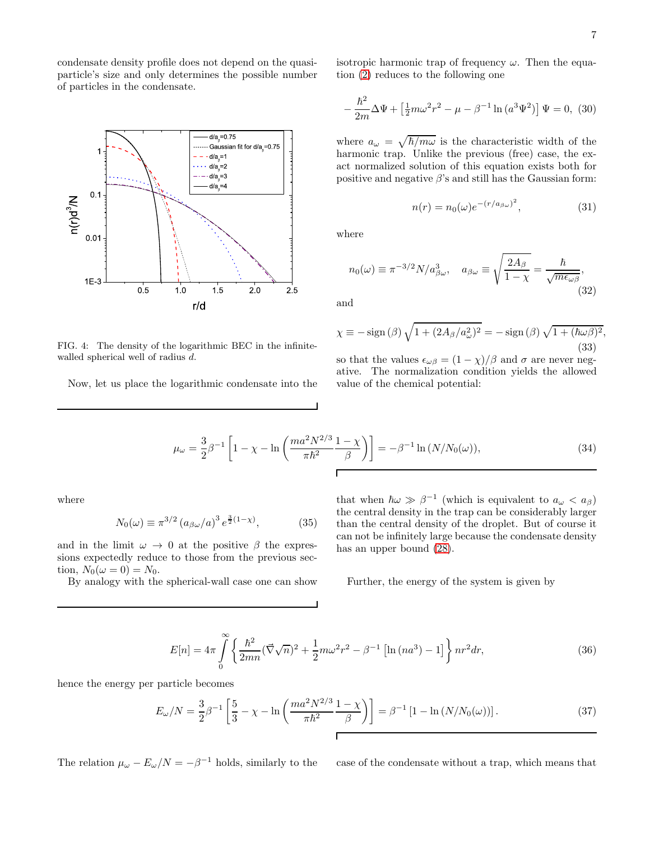condensate density profile does not depend on the quasiparticle's size and only determines the possible number of particles in the condensate.



<span id="page-6-1"></span>FIG. 4: The density of the logarithmic BEC in the infinitewalled spherical well of radius d.

Now, let us place the logarithmic condensate into the

isotropic harmonic trap of frequency  $\omega$ . Then the equation [\(2\)](#page-1-0) reduces to the following one

$$
-\frac{\hbar^2}{2m}\Delta\Psi + \left[\frac{1}{2}m\omega^2r^2 - \mu - \beta^{-1}\ln\left(a^3\Psi^2\right)\right]\Psi = 0, (30)
$$

where  $a_{\omega} = \sqrt{\hbar/m\omega}$  is the characteristic width of the harmonic trap. Unlike the previous (free) case, the exact normalized solution of this equation exists both for positive and negative  $\beta$ 's and still has the Gaussian form:

<span id="page-6-0"></span>
$$
n(r) = n_0(\omega)e^{-(r/a_{\beta\omega})^2}, \qquad (31)
$$

where

 $n_0(\omega) \equiv \pi^{-3/2} N/a_{\beta\omega}^3$ ,  $a_{\beta\omega} \equiv$  $\int 2A_{\beta}$  $\frac{2\pi\mu}{1-\chi} =$  $\hbar$  $\frac{n}{\sqrt{m\epsilon_{\omega\beta}}},$ (32)

and

$$
\chi \equiv -\operatorname{sign}(\beta)\sqrt{1 + (2A_{\beta}/a_{\omega}^2)^2} = -\operatorname{sign}(\beta)\sqrt{1 + (\hbar\omega\beta)^2},
$$
\n(33)

so that the values  $\epsilon_{\omega\beta} = (1 - \chi)/\beta$  and  $\sigma$  are never negative. The normalization condition yields the allowed value of the chemical potential:

$$
\mu_{\omega} = \frac{3}{2} \beta^{-1} \left[ 1 - \chi - \ln \left( \frac{m a^2 N^{2/3}}{\pi \hbar^2} \frac{1 - \chi}{\beta} \right) \right] = -\beta^{-1} \ln \left( N / N_0(\omega) \right),\tag{34}
$$

where

$$
N_0(\omega) \equiv \pi^{3/2} (a_{\beta\omega}/a)^3 e^{\frac{3}{2}(1-\chi)}, \tag{35}
$$

and in the limit  $\omega \to 0$  at the positive  $\beta$  the expressions expectedly reduce to those from the previous section,  $N_0(\omega = 0) = N_0$ .

By analogy with the spherical-wall case one can show

that when  $\hbar \omega \gg \beta^{-1}$  (which is equivalent to  $a_{\omega} < a_{\beta}$ ) the central density in the trap can be considerably larger than the central density of the droplet. But of course it can not be infinitely large because the condensate density has an upper bound [\(28\)](#page-5-1).

Further, the energy of the system is given by

$$
E[n] = 4\pi \int_{0}^{\infty} \left\{ \frac{\hbar^2}{2mn} (\vec{\nabla}\sqrt{n})^2 + \frac{1}{2} m \omega^2 r^2 - \beta^{-1} \left[ \ln(na^3) - 1 \right] \right\} n r^2 dr,\tag{36}
$$

hence the energy per particle becomes

$$
E_{\omega}/N = \frac{3}{2}\beta^{-1}\left[\frac{5}{3} - \chi - \ln\left(\frac{ma^2 N^{2/3}}{\pi \hbar^2} \frac{1-\chi}{\beta}\right)\right] = \beta^{-1}\left[1 - \ln\left(N/N_0(\omega)\right)\right].\tag{37}
$$

The relation  $\mu_{\omega} - E_{\omega}/N = -\beta^{-1}$  holds, similarly to the

case of the condensate without a trap, which means that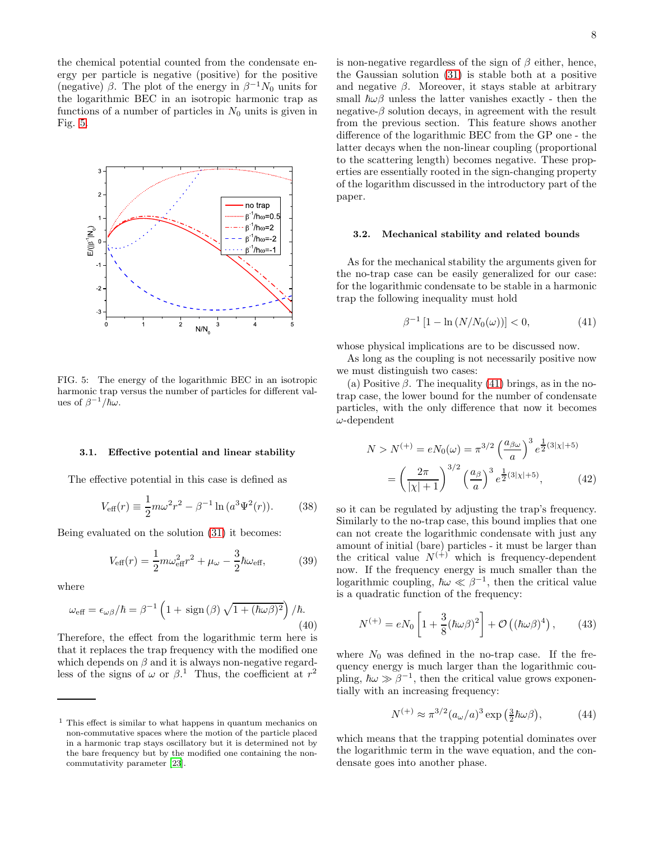the chemical potential counted from the condensate energy per particle is negative (positive) for the positive (negative)  $\beta$ . The plot of the energy in  $\beta^{-1}N_0$  units for the logarithmic BEC in an isotropic harmonic trap as functions of a number of particles in  $N_0$  units is given in Fig. [5.](#page-7-0)



<span id="page-7-0"></span>FIG. 5: The energy of the logarithmic BEC in an isotropic harmonic trap versus the number of particles for different values of  $\beta^{-1}/\hbar\omega$ .

#### 3.1. Effective potential and linear stability

The effective potential in this case is defined as

$$
V_{\text{eff}}(r) \equiv \frac{1}{2}m\omega^2 r^2 - \beta^{-1} \ln (a^3 \Psi^2(r)).
$$
 (38)

Being evaluated on the solution [\(31\)](#page-6-0) it becomes:

$$
V_{\text{eff}}(r) = \frac{1}{2}m\omega_{\text{eff}}^2 r^2 + \mu_{\omega} - \frac{3}{2}\hbar\omega_{\text{eff}},
$$
 (39)

where

$$
\omega_{\text{eff}} = \epsilon_{\omega\beta}/\hbar = \beta^{-1} \left( 1 + \text{sign}(\beta) \sqrt{1 + (\hbar \omega \beta)^2} \right) / \hbar. \tag{40}
$$

Therefore, the effect from the logarithmic term here is that it replaces the trap frequency with the modified one which depends on  $\beta$  and it is always non-negative regardless of the signs of  $\omega$  or  $\beta$ <sup>1</sup>. Thus, the coefficient at  $r^2$ 

is non-negative regardless of the sign of  $\beta$  either, hence, the Gaussian solution [\(31\)](#page-6-0) is stable both at a positive and negative  $\beta$ . Moreover, it stays stable at arbitrary small  $\hbar\omega\beta$  unless the latter vanishes exactly - then the negative- $\beta$  solution decays, in agreement with the result from the previous section. This feature shows another difference of the logarithmic BEC from the GP one - the latter decays when the non-linear coupling (proportional to the scattering length) becomes negative. These properties are essentially rooted in the sign-changing property of the logarithm discussed in the introductory part of the paper.

### 3.2. Mechanical stability and related bounds

As for the mechanical stability the arguments given for the no-trap case can be easily generalized for our case: for the logarithmic condensate to be stable in a harmonic trap the following inequality must hold

<span id="page-7-1"></span>
$$
\beta^{-1} [1 - \ln (N/N_0(\omega))] < 0, \tag{41}
$$

whose physical implications are to be discussed now.

As long as the coupling is not necessarily positive now we must distinguish two cases:

(a) Positive  $\beta$ . The inequality [\(41\)](#page-7-1) brings, as in the notrap case, the lower bound for the number of condensate particles, with the only difference that now it becomes  $\omega$ -dependent

$$
N > N^{(+)} = eN_0(\omega) = \pi^{3/2} \left(\frac{a_{\beta\omega}}{a}\right)^3 e^{\frac{1}{2}(3|\chi|+5)}
$$

$$
= \left(\frac{2\pi}{|\chi|+1}\right)^{3/2} \left(\frac{a_{\beta}}{a}\right)^3 e^{\frac{1}{2}(3|\chi|+5)}, \tag{42}
$$

so it can be regulated by adjusting the trap's frequency. Similarly to the no-trap case, this bound implies that one can not create the logarithmic condensate with just any amount of initial (bare) particles - it must be larger than the critical value  $N^{(+)}$  which is frequency-dependent now. If the frequency energy is much smaller than the logarithmic coupling,  $\hbar \omega \ll \beta^{-1}$ , then the critical value is a quadratic function of the frequency:

$$
N^{(+)} = eN_0 \left[ 1 + \frac{3}{8} (\hbar \omega \beta)^2 \right] + \mathcal{O}\left( (\hbar \omega \beta)^4 \right), \qquad (43)
$$

where  $N_0$  was defined in the no-trap case. If the frequency energy is much larger than the logarithmic coupling,  $\hbar \omega \gg \beta^{-1}$ , then the critical value grows exponentially with an increasing frequency:

$$
N^{(+)} \approx \pi^{3/2} (a_{\omega}/a)^3 \exp\left(\frac{3}{2}\hbar\omega\beta\right),\tag{44}
$$

which means that the trapping potential dominates over the logarithmic term in the wave equation, and the condensate goes into another phase.

<sup>1</sup> This effect is similar to what happens in quantum mechanics on non-commutative spaces where the motion of the particle placed in a harmonic trap stays oscillatory but it is determined not by the bare frequency but by the modified one containing the noncommutativity parameter [\[23\]](#page-13-1).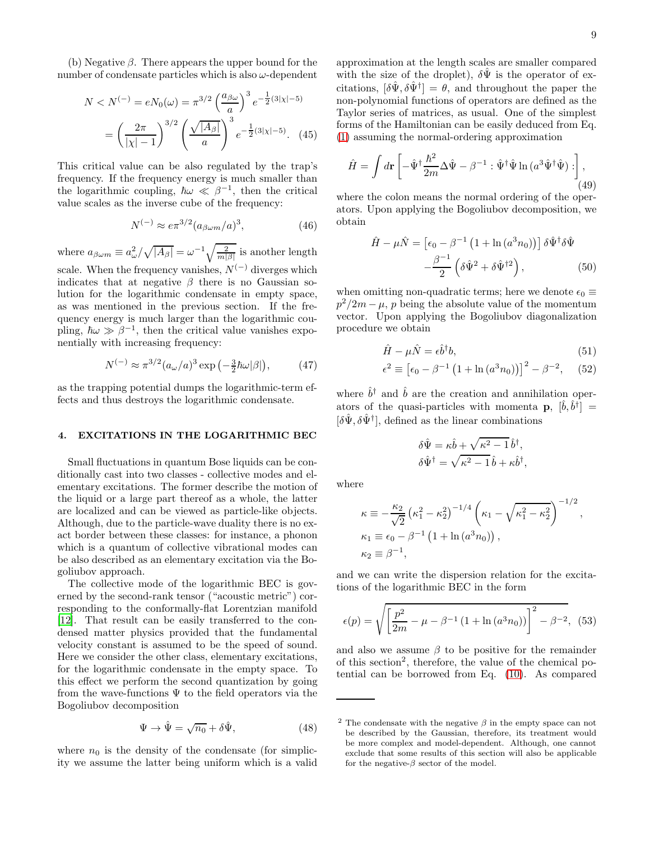(b) Negative  $\beta$ . There appears the upper bound for the number of condensate particles which is also  $\omega$ -dependent

$$
N < N^{(-)} = eN_0(\omega) = \pi^{3/2} \left(\frac{a_{\beta\omega}}{a}\right)^3 e^{-\frac{1}{2}(3|\chi| - 5)}
$$
\n
$$
= \left(\frac{2\pi}{|\chi| - 1}\right)^{3/2} \left(\frac{\sqrt{|A_\beta|}}{a}\right)^3 e^{-\frac{1}{2}(3|\chi| - 5)}. \quad (45)
$$

This critical value can be also regulated by the trap's frequency. If the frequency energy is much smaller than the logarithmic coupling,  $\hbar \omega \ll \beta^{-1}$ , then the critical value scales as the inverse cube of the frequency:

$$
N^{(-)} \approx e\pi^{3/2} (a_{\beta\omega m}/a)^3,
$$
 (46)

where  $a_{\beta\omega m} \equiv a_{\omega}^2 / \sqrt{|A_{\beta}|} = \omega^{-1} \sqrt{\frac{2}{m|\beta|}}$  is another length scale. When the frequency vanishes,  $N^{(-)}$  diverges which indicates that at negative  $\beta$  there is no Gaussian solution for the logarithmic condensate in empty space, as was mentioned in the previous section. If the frequency energy is much larger than the logarithmic coupling,  $\hbar \omega \gg \beta^{-1}$ , then the critical value vanishes exponentially with increasing frequency:

$$
N^{(-)} \approx \pi^{3/2} (a_{\omega}/a)^3 \exp\left(-\frac{3}{2}\hbar\omega|\beta|\right),\tag{47}
$$

as the trapping potential dumps the logarithmic-term effects and thus destroys the logarithmic condensate.

### 4. EXCITATIONS IN THE LOGARITHMIC BEC

Small fluctuations in quantum Bose liquids can be conditionally cast into two classes - collective modes and elementary excitations. The former describe the motion of the liquid or a large part thereof as a whole, the latter are localized and can be viewed as particle-like objects. Although, due to the particle-wave duality there is no exact border between these classes: for instance, a phonon which is a quantum of collective vibrational modes can be also described as an elementary excitation via the Bogoliubov approach.

The collective mode of the logarithmic BEC is governed by the second-rank tensor ("acoustic metric") corresponding to the conformally-flat Lorentzian manifold [\[12\]](#page-12-11). That result can be easily transferred to the condensed matter physics provided that the fundamental velocity constant is assumed to be the speed of sound. Here we consider the other class, elementary excitations, for the logarithmic condensate in the empty space. To this effect we perform the second quantization by going from the wave-functions  $\Psi$  to the field operators via the Bogoliubov decomposition

$$
\Psi \to \hat{\Psi} = \sqrt{n_0} + \delta \hat{\Psi}, \qquad (48)
$$

where  $n_0$  is the density of the condensate (for simplicity we assume the latter being uniform which is a valid approximation at the length scales are smaller compared with the size of the droplet),  $\delta \Psi$  is the operator of excitations,  $[\delta \hat{\Psi}, \delta \hat{\Psi}^{\dagger}] = \theta$ , and throughout the paper the non-polynomial functions of operators are defined as the Taylor series of matrices, as usual. One of the simplest forms of the Hamiltonian can be easily deduced from Eq. [\(1\)](#page-0-0) assuming the normal-ordering approximation

$$
\hat{H} = \int d\mathbf{r} \left[ -\hat{\Psi}^{\dagger} \frac{\hbar^2}{2m} \Delta \hat{\Psi} - \beta^{-1} : \hat{\Psi}^{\dagger} \hat{\Psi} \ln \left( a^3 \hat{\Psi}^{\dagger} \hat{\Psi} \right) : \right],
$$
\n(49)

where the colon means the normal ordering of the operators. Upon applying the Bogoliubov decomposition, we obtain

$$
\hat{H} - \mu \hat{N} = \left[ \epsilon_0 - \beta^{-1} \left( 1 + \ln \left( a^3 n_0 \right) \right) \right] \delta \hat{\Psi}^\dagger \delta \hat{\Psi} - \frac{\beta^{-1}}{2} \left( \delta \hat{\Psi}^2 + \delta \hat{\Psi}^{\dagger 2} \right),
$$
\n(50)

when omitting non-quadratic terms; here we denote  $\epsilon_0 \equiv$  $p^2/2m - \mu$ , p being the absolute value of the momentum vector. Upon applying the Bogoliubov diagonalization procedure we obtain

$$
\hat{H} - \mu \hat{N} = \epsilon \hat{b}^{\dagger} b,\tag{51}
$$

$$
\epsilon^2 \equiv \left[ \epsilon_0 - \beta^{-1} \left( 1 + \ln \left( a^3 n_0 \right) \right) \right]^2 - \beta^{-2}, \quad (52)
$$

where  $\hat{b}^{\dagger}$  and  $\hat{b}$  are the creation and annihilation operators of the quasi-particles with momenta  $\mathbf{p}, \; [\hat{b}, \hat{b}^{\dagger}] =$  $[\delta\hat{\Psi}, \delta\hat{\Psi}^{\dagger}]$ , defined as the linear combinations

$$
\delta\hat{\Psi} = \kappa \hat{b} + \sqrt{\kappa^2 - 1} \hat{b}^{\dagger},
$$
  

$$
\delta\hat{\Psi}^{\dagger} = \sqrt{\kappa^2 - 1} \hat{b} + \kappa \hat{b}^{\dagger},
$$

where

$$
\kappa \equiv -\frac{\kappa_2}{\sqrt{2}} \left(\kappa_1^2 - \kappa_2^2\right)^{-1/4} \left(\kappa_1 - \sqrt{\kappa_1^2 - \kappa_2^2}\right)^{-1/2},
$$
  
\n
$$
\kappa_1 \equiv \epsilon_0 - \beta^{-1} \left(1 + \ln(a^3 n_0)\right),
$$
  
\n
$$
\kappa_2 \equiv \beta^{-1},
$$

and we can write the dispersion relation for the excitations of the logarithmic BEC in the form

<span id="page-8-0"></span>
$$
\epsilon(p) = \sqrt{\left[\frac{p^2}{2m} - \mu - \beta^{-1} \left(1 + \ln\left(a^3 n_0\right)\right)\right]^2 - \beta^{-2}}, \tag{53}
$$

and also we assume  $\beta$  to be positive for the remainder of this section<sup>2</sup> , therefore, the value of the chemical potential can be borrowed from Eq. [\(10\)](#page-2-1). As compared

<sup>&</sup>lt;sup>2</sup> The condensate with the negative  $\beta$  in the empty space can not be described by the Gaussian, therefore, its treatment would be more complex and model-dependent. Although, one cannot exclude that some results of this section will also be applicable for the negative- $\beta$  sector of the model.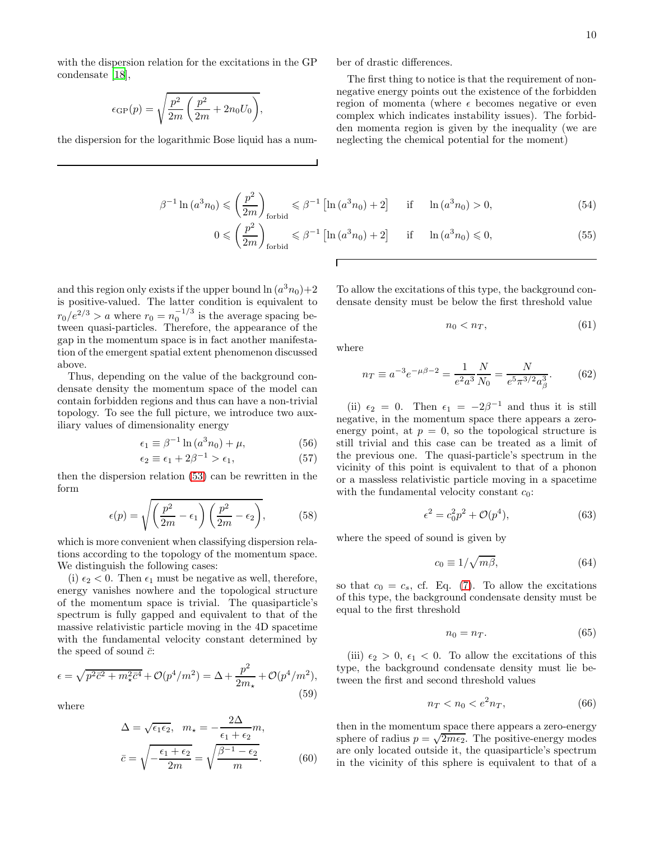with the dispersion relation for the excitations in the GP condensate [\[18\]](#page-12-17),

$$
\epsilon_{\rm GP}(p) = \sqrt{\frac{p^2}{2m} \left( \frac{p^2}{2m} + 2n_0 U_0 \right)},
$$

the dispersion for the logarithmic Bose liquid has a num-

ber of drastic differences.

The first thing to notice is that the requirement of nonnegative energy points out the existence of the forbidden region of momenta (where  $\epsilon$  becomes negative or even complex which indicates instability issues). The forbidden momenta region is given by the inequality (we are neglecting the chemical potential for the moment)

<span id="page-9-0"></span>
$$
\beta^{-1}\ln\left(a^3 n_0\right) \leqslant \left(\frac{p^2}{2m}\right)_{\text{forbid}} \leqslant \beta^{-1}\left[\ln\left(a^3 n_0\right) + 2\right] \quad \text{if} \quad \ln\left(a^3 n_0\right) > 0,\tag{54}
$$

$$
0 \leqslant \left(\frac{p^2}{2m}\right)_{\text{forbid}} \leqslant \beta^{-1} \left[ \ln \left( a^3 n_0 \right) + 2 \right] \quad \text{if} \quad \ln \left( a^3 n_0 \right) \leqslant 0,\tag{55}
$$

and this region only exists if the upper bound  $\ln(a^3n_0)+2$ is positive-valued. The latter condition is equivalent to  $r_0/e^{2/3} > a$  where  $r_0 = n_0^{-1/3}$  is the average spacing between quasi-particles. Therefore, the appearance of the gap in the momentum space is in fact another manifestation of the emergent spatial extent phenomenon discussed above.

Thus, depending on the value of the background condensate density the momentum space of the model can contain forbidden regions and thus can have a non-trivial topology. To see the full picture, we introduce two auxiliary values of dimensionality energy

$$
\epsilon_1 \equiv \beta^{-1} \ln \left( a^3 n_0 \right) + \mu,\tag{56}
$$

$$
\epsilon_2 \equiv \epsilon_1 + 2\beta^{-1} > \epsilon_1,\tag{57}
$$

then the dispersion relation [\(53\)](#page-8-0) can be rewritten in the form

$$
\epsilon(p) = \sqrt{\left(\frac{p^2}{2m} - \epsilon_1\right)\left(\frac{p^2}{2m} - \epsilon_2\right)},\tag{58}
$$

which is more convenient when classifying dispersion relations according to the topology of the momentum space. We distinguish the following cases:

(i)  $\epsilon_2$  < 0. Then  $\epsilon_1$  must be negative as well, therefore, energy vanishes nowhere and the topological structure of the momentum space is trivial. The quasiparticle's spectrum is fully gapped and equivalent to that of the massive relativistic particle moving in the 4D spacetime with the fundamental velocity constant determined by the speed of sound  $\bar{c}$ :

$$
\epsilon = \sqrt{p^2 \bar{c}^2 + m_{\star}^2 \bar{c}^4} + \mathcal{O}(p^4/m^2) = \Delta + \frac{p^2}{2m_{\star}} + \mathcal{O}(p^4/m^2),
$$
\n(59)

where

$$
\Delta = \sqrt{\epsilon_1 \epsilon_2}, \quad m_{\star} = -\frac{2\Delta}{\epsilon_1 + \epsilon_2} m,
$$

$$
\bar{c} = \sqrt{-\frac{\epsilon_1 + \epsilon_2}{2m}} = \sqrt{\frac{\beta^{-1} - \epsilon_2}{m}}.
$$
(60)

To allow the excitations of this type, the background condensate density must be below the first threshold value

$$
n_0 < n_T,\tag{61}
$$

where

Г

$$
n_T \equiv a^{-3} e^{-\mu \beta - 2} = \frac{1}{e^2 a^3} \frac{N}{N_0} = \frac{N}{e^5 \pi^{3/2} a_\beta^3}.
$$
 (62)

(ii)  $\epsilon_2 = 0$ . Then  $\epsilon_1 = -2\beta^{-1}$  and thus it is still negative, in the momentum space there appears a zeroenergy point, at  $p = 0$ , so the topological structure is still trivial and this case can be treated as a limit of the previous one. The quasi-particle's spectrum in the vicinity of this point is equivalent to that of a phonon or a massless relativistic particle moving in a spacetime with the fundamental velocity constant  $c_0$ :

$$
\epsilon^2 = c_0^2 p^2 + \mathcal{O}(p^4),\tag{63}
$$

where the speed of sound is given by

$$
c_0 \equiv 1/\sqrt{m\beta},\tag{64}
$$

so that  $c_0 = c_s$ , cf. Eq. [\(7\)](#page-2-4). To allow the excitations of this type, the background condensate density must be equal to the first threshold

$$
n_0 = n_T. \tag{65}
$$

(iii)  $\epsilon_2 > 0$ ,  $\epsilon_1 < 0$ . To allow the excitations of this type, the background condensate density must lie between the first and second threshold values

$$
n_T < n_0 < e^2 n_T,\tag{66}
$$

then in the momentum space there appears a zero-energy sphere of radius  $p = \sqrt{2m\epsilon_2}$ . The positive-energy modes are only located outside it, the quasiparticle's spectrum in the vicinity of this sphere is equivalent to that of a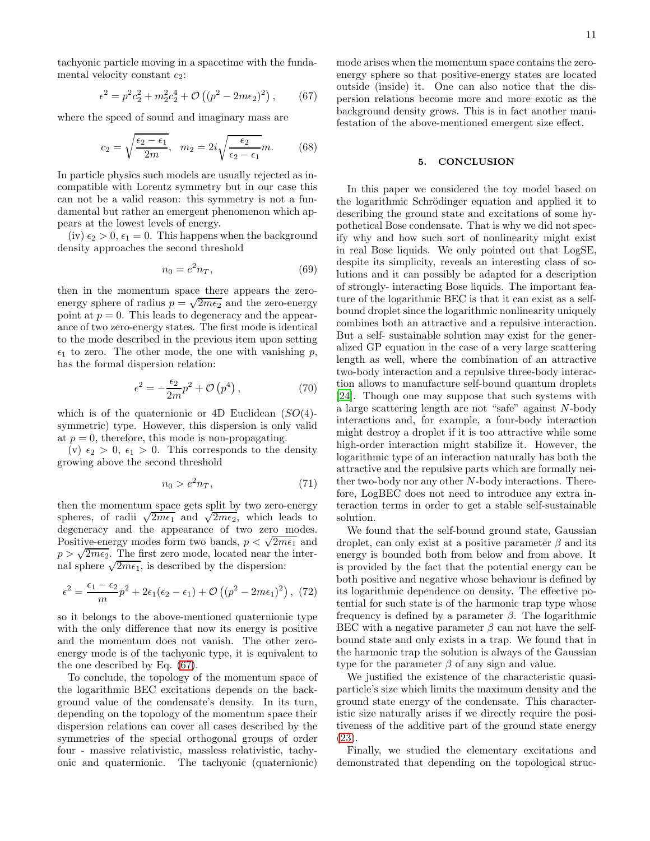tachyonic particle moving in a spacetime with the fundamental velocity constant  $c_2$ :

<span id="page-10-0"></span>
$$
\epsilon^2 = p^2 c_2^2 + m_2^2 c_2^4 + \mathcal{O}\left((p^2 - 2m\epsilon_2)^2\right),\qquad(67)
$$

where the speed of sound and imaginary mass are

$$
c_2 = \sqrt{\frac{\epsilon_2 - \epsilon_1}{2m}}, \quad m_2 = 2i\sqrt{\frac{\epsilon_2}{\epsilon_2 - \epsilon_1}}m.
$$
 (68)

In particle physics such models are usually rejected as incompatible with Lorentz symmetry but in our case this can not be a valid reason: this symmetry is not a fundamental but rather an emergent phenomenon which appears at the lowest levels of energy.

(iv)  $\epsilon_2 > 0$ ,  $\epsilon_1 = 0$ . This happens when the background density approaches the second threshold

$$
n_0 = e^2 n_T,\t\t(69)
$$

then in the momentum space there appears the zeroenergy sphere of radius  $p = \sqrt{2m\epsilon_2}$  and the zero-energy point at  $p = 0$ . This leads to degeneracy and the appearance of two zero-energy states. The first mode is identical to the mode described in the previous item upon setting  $\epsilon_1$  to zero. The other mode, the one with vanishing p, has the formal dispersion relation:

$$
\epsilon^2 = -\frac{\epsilon_2}{2m}p^2 + \mathcal{O}\left(p^4\right),\tag{70}
$$

which is of the quaternionic or 4D Euclidean  $(SO(4))$ symmetric) type. However, this dispersion is only valid at  $p = 0$ , therefore, this mode is non-propagating.

(v)  $\epsilon_2 > 0$ ,  $\epsilon_1 > 0$ . This corresponds to the density growing above the second threshold

$$
n_0 > e^2 n_T,\t\t(71)
$$

then the momentum space gets split by two zero-energy spheres, of radii  $\sqrt{2m\epsilon_1}$  and  $\sqrt{2m\epsilon_2}$ , which leads to degeneracy and the appearance of two zero modes. Positive-energy modes form two bands,  $p < \sqrt{2m\epsilon_1}$  and  $p > \sqrt{2m\epsilon_2}$ . The first zero mode, located near the internal sphere  $\sqrt{2m\epsilon_1}$ , is described by the dispersion:

$$
\epsilon^2 = \frac{\epsilon_1 - \epsilon_2}{m} p^2 + 2\epsilon_1(\epsilon_2 - \epsilon_1) + \mathcal{O}\left((p^2 - 2m\epsilon_1)^2\right), (72)
$$

so it belongs to the above-mentioned quaternionic type with the only difference that now its energy is positive and the momentum does not vanish. The other zeroenergy mode is of the tachyonic type, it is equivalent to the one described by Eq. [\(67\)](#page-10-0).

To conclude, the topology of the momentum space of the logarithmic BEC excitations depends on the background value of the condensate's density. In its turn, depending on the topology of the momentum space their dispersion relations can cover all cases described by the symmetries of the special orthogonal groups of order four - massive relativistic, massless relativistic, tachyonic and quaternionic. The tachyonic (quaternionic) mode arises when the momentum space contains the zeroenergy sphere so that positive-energy states are located outside (inside) it. One can also notice that the dispersion relations become more and more exotic as the background density grows. This is in fact another manifestation of the above-mentioned emergent size effect.

### 5. CONCLUSION

In this paper we considered the toy model based on the logarithmic Schrödinger equation and applied it to describing the ground state and excitations of some hypothetical Bose condensate. That is why we did not specify why and how such sort of nonlinearity might exist in real Bose liquids. We only pointed out that LogSE, despite its simplicity, reveals an interesting class of solutions and it can possibly be adapted for a description of strongly- interacting Bose liquids. The important feature of the logarithmic BEC is that it can exist as a selfbound droplet since the logarithmic nonlinearity uniquely combines both an attractive and a repulsive interaction. But a self- sustainable solution may exist for the generalized GP equation in the case of a very large scattering length as well, where the combination of an attractive two-body interaction and a repulsive three-body interaction allows to manufacture self-bound quantum droplets [\[24\]](#page-13-2). Though one may suppose that such systems with a large scattering length are not "safe" against N-body interactions and, for example, a four-body interaction might destroy a droplet if it is too attractive while some high-order interaction might stabilize it. However, the logarithmic type of an interaction naturally has both the attractive and the repulsive parts which are formally neither two-body nor any other N-body interactions. Therefore, LogBEC does not need to introduce any extra interaction terms in order to get a stable self-sustainable solution.

We found that the self-bound ground state, Gaussian droplet, can only exist at a positive parameter  $\beta$  and its energy is bounded both from below and from above. It is provided by the fact that the potential energy can be both positive and negative whose behaviour is defined by its logarithmic dependence on density. The effective potential for such state is of the harmonic trap type whose frequency is defined by a parameter  $\beta$ . The logarithmic BEC with a negative parameter  $\beta$  can not have the selfbound state and only exists in a trap. We found that in the harmonic trap the solution is always of the Gaussian type for the parameter  $\beta$  of any sign and value.

We justified the existence of the characteristic quasiparticle's size which limits the maximum density and the ground state energy of the condensate. This characteristic size naturally arises if we directly require the positiveness of the additive part of the ground state energy [\(23\)](#page-4-1).

Finally, we studied the elementary excitations and demonstrated that depending on the topological struc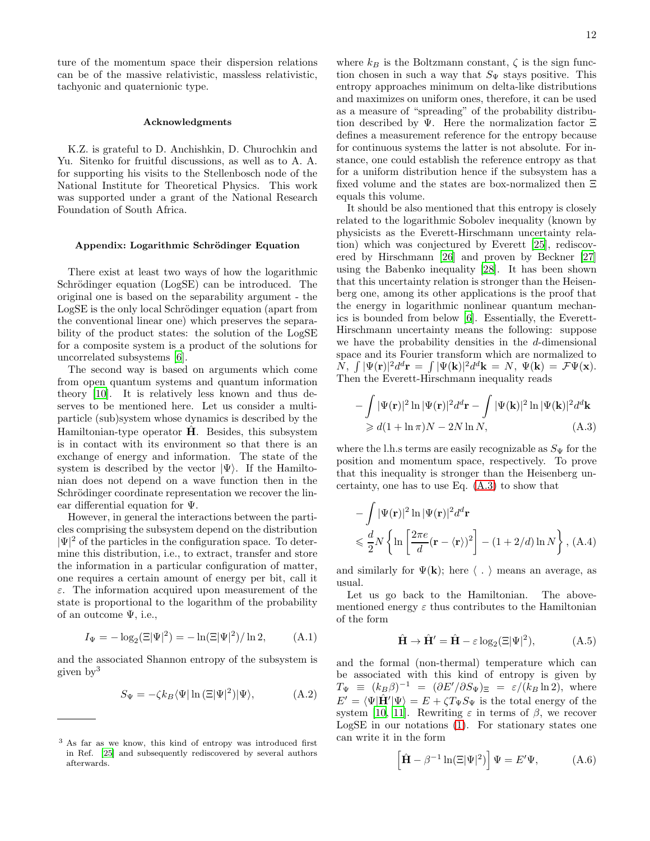ture of the momentum space their dispersion relations can be of the massive relativistic, massless relativistic, tachyonic and quaternionic type.

#### Acknowledgments

K.Z. is grateful to D. Anchishkin, D. Churochkin and Yu. Sitenko for fruitful discussions, as well as to A. A. for supporting his visits to the Stellenbosch node of the National Institute for Theoretical Physics. This work was supported under a grant of the National Research Foundation of South Africa.

### Appendix: Logarithmic Schrödinger Equation

There exist at least two ways of how the logarithmic Schrödinger equation (LogSE) can be introduced. The original one is based on the separability argument - the LogSE is the only local Schrödinger equation (apart from the conventional linear one) which preserves the separability of the product states: the solution of the LogSE for a composite system is a product of the solutions for uncorrelated subsystems [\[6](#page-12-5)].

The second way is based on arguments which come from open quantum systems and quantum information theory [\[10](#page-12-9)]. It is relatively less known and thus deserves to be mentioned here. Let us consider a multiparticle (sub)system whose dynamics is described by the Hamiltonian-type operator  $\hat{H}$ . Besides, this subsystem is in contact with its environment so that there is an exchange of energy and information. The state of the system is described by the vector  $|\Psi\rangle$ . If the Hamiltonian does not depend on a wave function then in the Schrödinger coordinate representation we recover the linear differential equation for Ψ.

However, in general the interactions between the particles comprising the subsystem depend on the distribution  $|\Psi|^2$  of the particles in the configuration space. To determine this distribution, i.e., to extract, transfer and store the information in a particular configuration of matter, one requires a certain amount of energy per bit, call it  $\varepsilon$ . The information acquired upon measurement of the state is proportional to the logarithm of the probability of an outcome Ψ, i.e.,

$$
I_{\Psi} = -\log_2(\Xi|\Psi|^2) = -\ln(\Xi|\Psi|^2)/\ln 2, \tag{A.1}
$$

and the associated Shannon entropy of the subsystem is given by<sup>3</sup>

<span id="page-11-0"></span>
$$
S_{\Psi} = -\zeta k_B \langle \Psi | \ln \left( \Xi |\Psi|^2 \right) | \Psi \rangle, \tag{A.2}
$$

where  $k_B$  is the Boltzmann constant,  $\zeta$  is the sign function chosen in such a way that  $S_{\Psi}$  stays positive. This entropy approaches minimum on delta-like distributions and maximizes on uniform ones, therefore, it can be used as a measure of "spreading" of the probability distribution described by Ψ. Here the normalization factor  $\Xi$ defines a measurement reference for the entropy because for continuous systems the latter is not absolute. For instance, one could establish the reference entropy as that for a uniform distribution hence if the subsystem has a fixed volume and the states are box-normalized then Ξ equals this volume.

It should be also mentioned that this entropy is closely related to the logarithmic Sobolev inequality (known by physicists as the Everett-Hirschmann uncertainty relation) which was conjectured by Everett [\[25](#page-13-3)], rediscovered by Hirschmann [\[26\]](#page-13-4) and proven by Beckner [\[27](#page-13-5)] using the Babenko inequality [\[28](#page-13-6)]. It has been shown that this uncertainty relation is stronger than the Heisenberg one, among its other applications is the proof that the energy in logarithmic nonlinear quantum mechanics is bounded from below [\[6](#page-12-5)]. Essentially, the Everett-Hirschmann uncertainty means the following: suppose we have the probability densities in the d-dimensional space and its Fourier transform which are normalized to  $N, \int |\Psi(\mathbf{r})|^2 d^d \mathbf{r} = \int |\Psi(\mathbf{k})|^2 d^d \mathbf{k} = N, \ \Psi(\mathbf{k}) = \mathcal{F}\Psi(\mathbf{x}).$ Then the Everett-Hirschmann inequality reads

<span id="page-11-1"></span>
$$
-\int |\Psi(\mathbf{r})|^2 \ln |\Psi(\mathbf{r})|^2 d^d \mathbf{r} - \int |\Psi(\mathbf{k})|^2 \ln |\Psi(\mathbf{k})|^2 d^d \mathbf{k}
$$
  
\n
$$
\geq d(1 + \ln \pi)N - 2N \ln N,
$$
 (A.3)

where the l.h.s terms are easily recognizable as  $S_{\Psi}$  for the position and momentum space, respectively. To prove that this inequality is stronger than the Heisenberg uncertainty, one has to use Eq. [\(A.3\)](#page-11-1) to show that

$$
-\int |\Psi(\mathbf{r})|^2 \ln |\Psi(\mathbf{r})|^2 d^d \mathbf{r}
$$
  
\$\leqslant \frac{d}{2}N \left\{\ln \left[\frac{2\pi e}{d} (\mathbf{r} - \langle \mathbf{r} \rangle)^2\right] - (1 + 2/d) \ln N \right\}, (A.4)\$

and similarly for  $\Psi(\mathbf{k})$ ; here  $\langle . \rangle$  means an average, as usual.

Let us go back to the Hamiltonian. The abovementioned energy  $\varepsilon$  thus contributes to the Hamiltonian of the form

$$
\hat{\mathbf{H}} \to \hat{\mathbf{H}}' = \hat{\mathbf{H}} - \varepsilon \log_2(\Xi|\Psi|^2), \tag{A.5}
$$

and the formal (non-thermal) temperature which can be associated with this kind of entropy is given by  $T_{\Psi} \equiv (k_{B}\beta)^{-1} = (\partial E'/\partial S_{\Psi})_{\Xi} = \varepsilon/(k_{B}\ln 2), \text{ where}$  $E' = \langle \Psi | \hat{H}' | \Psi \rangle = E + \zeta T_{\Psi} S_{\Psi}$  is the total energy of the system [\[10,](#page-12-9) [11\]](#page-12-10). Rewriting  $\varepsilon$  in terms of  $\beta$ , we recover LogSE in our notations [\(1\)](#page-0-0). For stationary states one can write it in the form

$$
\left[\hat{\mathbf{H}} - \beta^{-1} \ln(\Xi|\Psi|^2)\right] \Psi = E' \Psi, \tag{A.6}
$$

<sup>3</sup> As far as we know, this kind of entropy was introduced first in Ref. [\[25\]](#page-13-3) and subsequently rediscovered by several authors afterwards.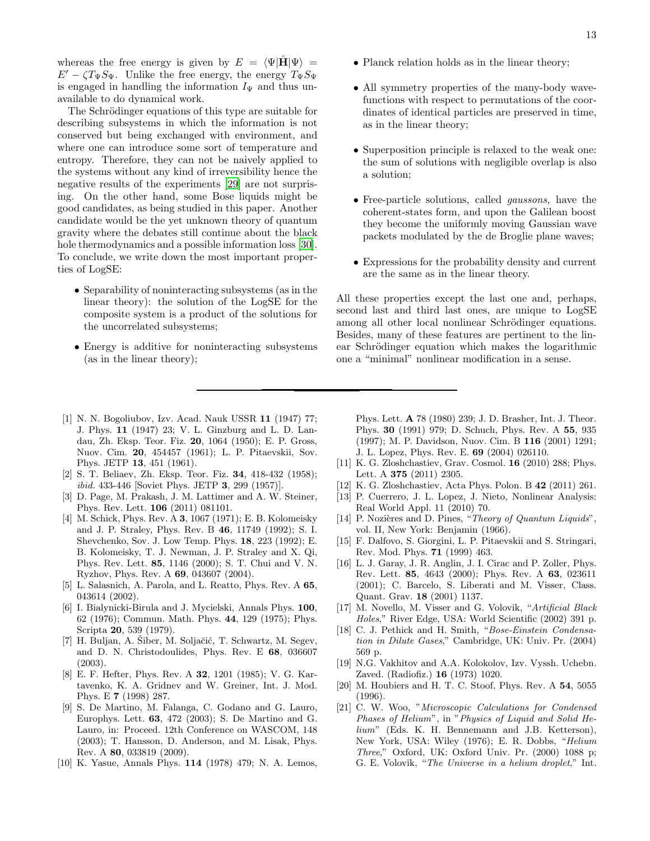whereas the free energy is given by  $E = \langle \Psi | \mathbf{H} | \Psi \rangle =$  $E' - \zeta T_{\Psi} S_{\Psi}$ . Unlike the free energy, the energy  $T_{\Psi} S_{\Psi}$ is engaged in handling the information  $I_{\Psi}$  and thus unavailable to do dynamical work.

The Schrödinger equations of this type are suitable for describing subsystems in which the information is not conserved but being exchanged with environment, and where one can introduce some sort of temperature and entropy. Therefore, they can not be naively applied to the systems without any kind of irreversibility hence the negative results of the experiments [\[29\]](#page-13-7) are not surprising. On the other hand, some Bose liquids might be good candidates, as being studied in this paper. Another candidate would be the yet unknown theory of quantum gravity where the debates still continue about the black hole thermodynamics and a possible information loss [\[30\]](#page-13-8). To conclude, we write down the most important properties of LogSE:

- Separability of noninteracting subsystems (as in the linear theory): the solution of the LogSE for the composite system is a product of the solutions for the uncorrelated subsystems;
- Energy is additive for noninteracting subsystems (as in the linear theory);
- Planck relation holds as in the linear theory;
- All symmetry properties of the many-body wavefunctions with respect to permutations of the coordinates of identical particles are preserved in time, as in the linear theory;
- Superposition principle is relaxed to the weak one: the sum of solutions with negligible overlap is also a solution;
- Free-particle solutions, called gaussons, have the coherent-states form, and upon the Galilean boost they become the uniformly moving Gaussian wave packets modulated by the de Broglie plane waves;
- Expressions for the probability density and current are the same as in the linear theory.

All these properties except the last one and, perhaps, second last and third last ones, are unique to LogSE among all other local nonlinear Schrödinger equations. Besides, many of these features are pertinent to the linear Schrödinger equation which makes the logarithmic one a "minimal" nonlinear modification in a sense.

- <span id="page-12-0"></span>[1] N. N. Bogoliubov, Izv. Acad. Nauk USSR 11 (1947) 77; J. Phys. 11 (1947) 23; V. L. Ginzburg and L. D. Landau, Zh. Eksp. Teor. Fiz. 20, 1064 (1950); E. P. Gross, Nuov. Cim. 20, 454457 (1961); L. P. Pitaevskii, Sov. Phys. JETP 13, 451 (1961).
- <span id="page-12-1"></span>[2] S. T. Beliaev, Zh. Eksp. Teor. Fiz. 34, 418-432 (1958); ibid. 433-446 [Soviet Phys. JETP 3, 299 (1957)].
- <span id="page-12-2"></span>[3] D. Page, M. Prakash, J. M. Lattimer and A. W. Steiner, Phys. Rev. Lett. 106 (2011) 081101.
- <span id="page-12-3"></span>[4] M. Schick, Phys. Rev. A 3, 1067 (1971); E. B. Kolomeisky and J. P. Straley, Phys. Rev. B 46, 11749 (1992); S. I. Shevchenko, Sov. J. Low Temp. Phys. 18, 223 (1992); E. B. Kolomeisky, T. J. Newman, J. P. Straley and X. Qi, Phys. Rev. Lett. 85, 1146 (2000); S. T. Chui and V. N. Ryzhov, Phys. Rev. A 69, 043607 (2004).
- <span id="page-12-4"></span>[5] L. Salasnich, A. Parola, and L. Reatto, Phys. Rev. A 65, 043614 (2002).
- <span id="page-12-5"></span>[6] I. Bialynicki-Birula and J. Mycielski, Annals Phys. 100, 62 (1976); Commun. Math. Phys. 44, 129 (1975); Phys. Scripta 20, 539 (1979).
- <span id="page-12-6"></span>[7] H. Buljan, A. Šiber, M. Soljačić, T. Schwartz, M. Segev, and D. N. Christodoulides, Phys. Rev. E 68, 036607 (2003).
- <span id="page-12-7"></span>[8] E. F. Hefter, Phys. Rev. A 32, 1201 (1985); V. G. Kartavenko, K. A. Gridnev and W. Greiner, Int. J. Mod. Phys. E 7 (1998) 287.
- <span id="page-12-8"></span>[9] S. De Martino, M. Falanga, C. Godano and G. Lauro, Europhys. Lett. 63, 472 (2003); S. De Martino and G. Lauro, in: Proceed. 12th Conference on WASCOM, 148 (2003); T. Hansson, D. Anderson, and M. Lisak, Phys. Rev. A 80, 033819 (2009).
- <span id="page-12-9"></span>[10] K. Yasue, Annals Phys. 114 (1978) 479; N. A. Lemos,

Phys. Lett. A 78 (1980) 239; J. D. Brasher, Int. J. Theor. Phys. 30 (1991) 979; D. Schuch, Phys. Rev. A 55, 935 (1997); M. P. Davidson, Nuov. Cim. B 116 (2001) 1291; J. L. Lopez, Phys. Rev. E. 69 (2004) 026110.

- <span id="page-12-10"></span>[11] K. G. Zloshchastiev, Grav. Cosmol. **16** (2010) 288; Phys. Lett. A 375 (2011) 2305.
- <span id="page-12-11"></span>[12] K. G. Zloshchastiev, Acta Phys. Polon. B 42 (2011) 261.
- <span id="page-12-12"></span>[13] P. Cuerrero, J. L. Lopez, J. Nieto, Nonlinear Analysis: Real World Appl. 11 (2010) 70.
- <span id="page-12-13"></span>[14] P. Nozières and D. Pines, "Theory of Quantum Liquids". vol. II, New York: Benjamin (1966).
- <span id="page-12-14"></span>[15] F. Dalfovo, S. Giorgini, L. P. Pitaevskii and S. Stringari, Rev. Mod. Phys. 71 (1999) 463.
- <span id="page-12-15"></span>[16] L. J. Garay, J. R. Anglin, J. I. Cirac and P. Zoller, Phys. Rev. Lett. 85, 4643 (2000); Phys. Rev. A 63, 023611 (2001); C. Barcelo, S. Liberati and M. Visser, Class. Quant. Grav. 18 (2001) 1137.
- <span id="page-12-16"></span>[17] M. Novello, M. Visser and G. Volovik, "Artificial Black Holes," River Edge, USA: World Scientific (2002) 391 p.
- <span id="page-12-17"></span>[18] C. J. Pethick and H. Smith, "Bose-Einstein Condensation in Dilute Gases," Cambridge, UK: Univ. Pr. (2004) 569 p.
- <span id="page-12-18"></span>[19] N.G. Vakhitov and A.A. Kolokolov, Izv. Vyssh. Uchebn. Zaved. (Radiofiz.) 16 (1973) 1020.
- <span id="page-12-19"></span>[20] M. Houbiers and H. T. C. Stoof, Phys. Rev. A 54, 5055 (1996).
- <span id="page-12-20"></span>[21] C. W. Woo, "Microscopic Calculations for Condensed Phases of Helium", in "Physics of Liquid and Solid Helium" (Eds. K. H. Bennemann and J.B. Ketterson), New York, USA: Wiley (1976); E. R. Dobbs, "Helium Three," Oxford, UK: Oxford Univ. Pr. (2000) 1088 p; G. E. Volovik, "The Universe in a helium droplet," Int.